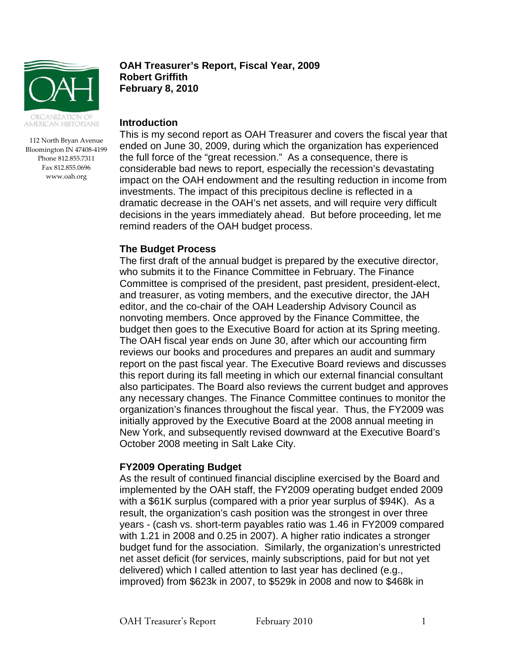

112 North Bryan Avenue Bloomington IN 47408-4199 Phone 812.855.7311 Fax 812.855.0696 www.oah.org

### **OAH Treasurer's Report, Fiscal Year, 2009 Robert Griffith February 8, 2010**

#### **Introduction**

This is my second report as OAH Treasurer and covers the fiscal year that ended on June 30, 2009, during which the organization has experienced the full force of the "great recession." As a consequence, there is considerable bad news to report, especially the recession's devastating impact on the OAH endowment and the resulting reduction in income from investments. The impact of this precipitous decline is reflected in a dramatic decrease in the OAH's net assets, and will require very difficult decisions in the years immediately ahead. But before proceeding, let me remind readers of the OAH budget process.

## **The Budget Process**

The first draft of the annual budget is prepared by the executive director, who submits it to the Finance Committee in February. The Finance Committee is comprised of the president, past president, president-elect, and treasurer, as voting members, and the executive director, the JAH editor, and the co-chair of the OAH Leadership Advisory Council as nonvoting members. Once approved by the Finance Committee, the budget then goes to the Executive Board for action at its Spring meeting. The OAH fiscal year ends on June 30, after which our accounting firm reviews our books and procedures and prepares an audit and summary report on the past fiscal year. The Executive Board reviews and discusses this report during its fall meeting in which our external financial consultant also participates. The Board also reviews the current budget and approves any necessary changes. The Finance Committee continues to monitor the organization's finances throughout the fiscal year. Thus, the FY2009 was initially approved by the Executive Board at the 2008 annual meeting in New York, and subsequently revised downward at the Executive Board's October 2008 meeting in Salt Lake City.

## **FY2009 Operating Budget**

As the result of continued financial discipline exercised by the Board and implemented by the OAH staff, the FY2009 operating budget ended 2009 with a \$61K surplus (compared with a prior year surplus of \$94K). As a result, the organization's cash position was the strongest in over three years - (cash vs. short-term payables ratio was 1.46 in FY2009 compared with 1.21 in 2008 and 0.25 in 2007). A higher ratio indicates a stronger budget fund for the association. Similarly, the organization's unrestricted net asset deficit (for services, mainly subscriptions, paid for but not yet delivered) which I called attention to last year has declined (e.g., improved) from \$623k in 2007, to \$529k in 2008 and now to \$468k in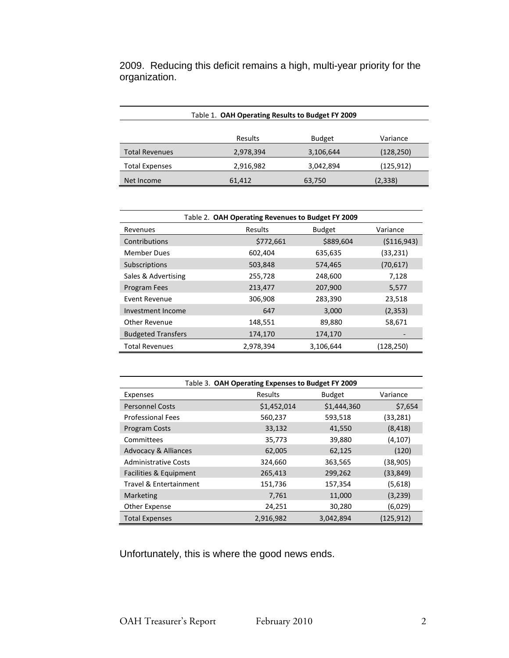2009. Reducing this deficit remains a high, multi-year priority for the organization.

| Table 1. OAH Operating Results to Budget FY 2009 |           |               |            |  |  |
|--------------------------------------------------|-----------|---------------|------------|--|--|
|                                                  |           |               |            |  |  |
|                                                  | Results   | <b>Budget</b> | Variance   |  |  |
| <b>Total Revenues</b>                            | 2,978,394 | 3,106,644     | (128, 250) |  |  |
| <b>Total Expenses</b>                            | 2,916,982 | 3,042,894     | (125, 912) |  |  |
| Net Income                                       | 61,412    | 63,750        | (2, 338)   |  |  |

| Table 2. OAH Operating Revenues to Budget FY 2009 |           |               |               |  |  |  |
|---------------------------------------------------|-----------|---------------|---------------|--|--|--|
| Revenues                                          | Results   | <b>Budget</b> | Variance      |  |  |  |
| Contributions                                     | \$772,661 | \$889,604     | ( \$116, 943) |  |  |  |
| <b>Member Dues</b>                                | 602,404   | 635,635       | (33, 231)     |  |  |  |
| Subscriptions                                     | 503,848   | 574,465       | (70, 617)     |  |  |  |
| Sales & Advertising                               | 255,728   | 248,600       | 7,128         |  |  |  |
| Program Fees                                      | 213,477   | 207,900       | 5,577         |  |  |  |
| <b>Event Revenue</b>                              | 306,908   | 283,390       | 23,518        |  |  |  |
| Investment Income                                 | 647       | 3,000         | (2, 353)      |  |  |  |
| <b>Other Revenue</b>                              | 148,551   | 89,880        | 58,671        |  |  |  |
| <b>Budgeted Transfers</b>                         | 174,170   | 174,170       |               |  |  |  |
| <b>Total Revenues</b>                             | 2,978,394 | 3,106,644     | (128,250)     |  |  |  |

| Table 3. OAH Operating Expenses to Budget FY 2009 |                |               |            |  |  |
|---------------------------------------------------|----------------|---------------|------------|--|--|
| Expenses                                          | <b>Results</b> | <b>Budget</b> | Variance   |  |  |
| <b>Personnel Costs</b>                            | \$1,452,014    | \$1,444,360   | \$7,654    |  |  |
| <b>Professional Fees</b>                          | 560,237        | 593,518       | (33, 281)  |  |  |
| <b>Program Costs</b>                              | 33,132         | 41,550        | (8, 418)   |  |  |
| Committees                                        | 35,773         | 39,880        | (4, 107)   |  |  |
| <b>Advocacy &amp; Alliances</b>                   | 62,005         | 62,125        | (120)      |  |  |
| <b>Administrative Costs</b>                       | 324,660        | 363,565       | (38, 905)  |  |  |
| Facilities & Equipment                            | 265,413        | 299,262       | (33, 849)  |  |  |
| Travel & Entertainment                            | 151,736        | 157,354       | (5,618)    |  |  |
| Marketing                                         | 7,761          | 11,000        | (3,239)    |  |  |
| Other Expense                                     | 24,251         | 30,280        | (6,029)    |  |  |
| <b>Total Expenses</b>                             | 2,916,982      | 3,042,894     | (125, 912) |  |  |

Unfortunately, this is where the good news ends.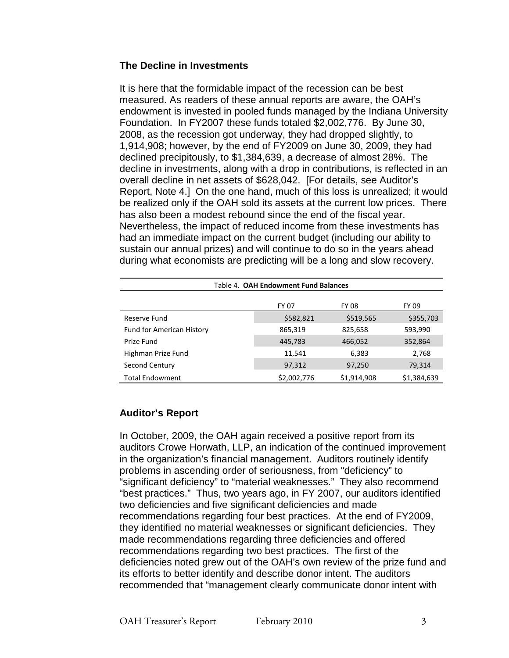## **The Decline in Investments**

It is here that the formidable impact of the recession can be best measured. As readers of these annual reports are aware, the OAH's endowment is invested in pooled funds managed by the Indiana University Foundation. In FY2007 these funds totaled \$2,002,776. By June 30, 2008, as the recession got underway, they had dropped slightly, to 1,914,908; however, by the end of FY2009 on June 30, 2009, they had declined precipitously, to \$1,384,639, a decrease of almost 28%. The decline in investments, along with a drop in contributions, is reflected in an overall decline in net assets of \$628,042. [For details, see Auditor's Report, Note 4.] On the one hand, much of this loss is unrealized; it would be realized only if the OAH sold its assets at the current low prices. There has also been a modest rebound since the end of the fiscal year. Nevertheless, the impact of reduced income from these investments has had an immediate impact on the current budget (including our ability to sustain our annual prizes) and will continue to do so in the years ahead during what economists are predicting will be a long and slow recovery.

| Table 4. OAH Endowment Fund Balances |             |              |             |  |  |
|--------------------------------------|-------------|--------------|-------------|--|--|
|                                      | FY 07       | <b>FY 08</b> | FY 09       |  |  |
| Reserve Fund                         | \$582,821   | \$519,565    | \$355,703   |  |  |
| <b>Fund for American History</b>     | 865,319     | 825,658      | 593,990     |  |  |
| Prize Fund                           | 445,783     | 466,052      | 352,864     |  |  |
| Highman Prize Fund                   | 11,541      | 6,383        | 2,768       |  |  |
| Second Century                       | 97,312      | 97,250       | 79,314      |  |  |
| <b>Total Endowment</b>               | \$2,002,776 | \$1,914,908  | \$1,384,639 |  |  |

# **Auditor's Report**

In October, 2009, the OAH again received a positive report from its auditors Crowe Horwath, LLP, an indication of the continued improvement in the organization's financial management. Auditors routinely identify problems in ascending order of seriousness, from "deficiency" to "significant deficiency" to "material weaknesses." They also recommend "best practices." Thus, two years ago, in FY 2007, our auditors identified two deficiencies and five significant deficiencies and made recommendations regarding four best practices. At the end of FY2009, they identified no material weaknesses or significant deficiencies. They made recommendations regarding three deficiencies and offered recommendations regarding two best practices. The first of the deficiencies noted grew out of the OAH's own review of the prize fund and its efforts to better identify and describe donor intent. The auditors recommended that "management clearly communicate donor intent with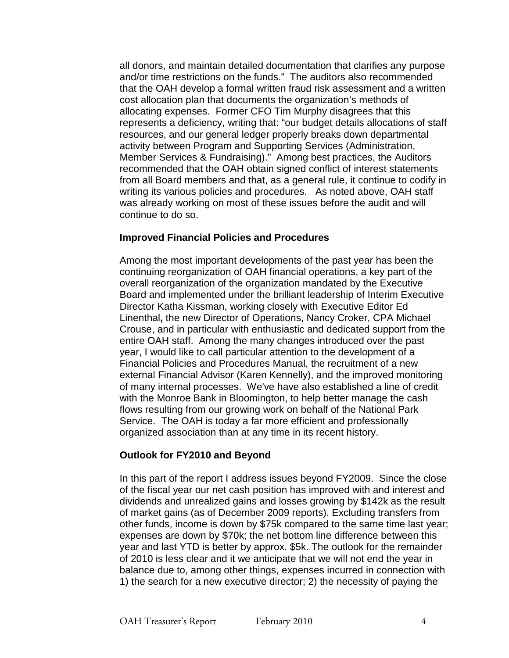all donors, and maintain detailed documentation that clarifies any purpose and/or time restrictions on the funds." The auditors also recommended that the OAH develop a formal written fraud risk assessment and a written cost allocation plan that documents the organization's methods of allocating expenses. Former CFO Tim Murphy disagrees that this represents a deficiency, writing that: "our budget details allocations of staff resources, and our general ledger properly breaks down departmental activity between Program and Supporting Services (Administration, Member Services & Fundraising)." Among best practices, the Auditors recommended that the OAH obtain signed conflict of interest statements from all Board members and that, as a general rule, it continue to codify in writing its various policies and procedures. As noted above, OAH staff was already working on most of these issues before the audit and will continue to do so.

## **Improved Financial Policies and Procedures**

Among the most important developments of the past year has been the continuing reorganization of OAH financial operations, a key part of the overall reorganization of the organization mandated by the Executive Board and implemented under the brilliant leadership of Interim Executive Director Katha Kissman, working closely with Executive Editor Ed Linenthal**,** the new Director of Operations, Nancy Croker, CPA Michael Crouse, and in particular with enthusiastic and dedicated support from the entire OAH staff. Among the many changes introduced over the past year, I would like to call particular attention to the development of a Financial Policies and Procedures Manual, the recruitment of a new external Financial Advisor (Karen Kennelly), and the improved monitoring of many internal processes. We've have also established a line of credit with the Monroe Bank in Bloomington, to help better manage the cash flows resulting from our growing work on behalf of the National Park Service. The OAH is today a far more efficient and professionally organized association than at any time in its recent history.

# **Outlook for FY2010 and Beyond**

In this part of the report I address issues beyond FY2009. Since the close of the fiscal year our net cash position has improved with and interest and dividends and unrealized gains and losses growing by \$142k as the result of market gains (as of December 2009 reports). Excluding transfers from other funds, income is down by \$75k compared to the same time last year; expenses are down by \$70k; the net bottom line difference between this year and last YTD is better by approx. \$5k. The outlook for the remainder of 2010 is less clear and it we anticipate that we will not end the year in balance due to, among other things, expenses incurred in connection with 1) the search for a new executive director; 2) the necessity of paying the